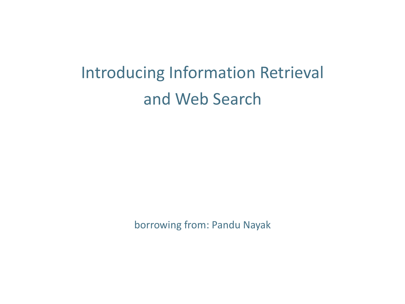#### Introducing Information Retrieval and Web Search

borrowing from: Pandu Nayak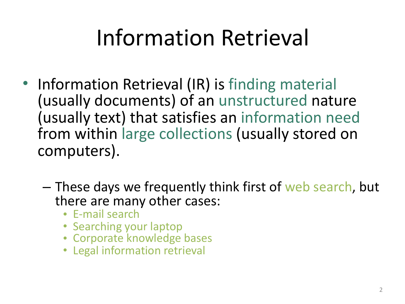# Information Retrieval

- Information Retrieval (IR) is finding material (usually documents) of an unstructured nature (usually text) that satisfies an information need from within large collections (usually stored on computers).
	- These days we frequently think first of web search, but there are many other cases:
		- E-mail search
		- Searching your laptop
		- Corporate knowledge bases
		- Legal information retrieval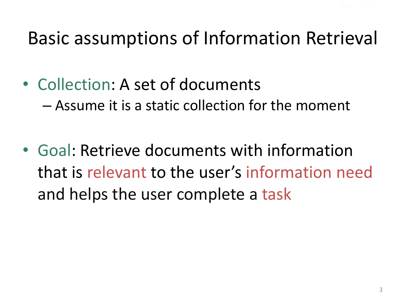#### Basic assumptions of Information Retrieval

- Collection: A set of documents  $-$  Assume it is a static collection for the moment
- Goal: Retrieve documents with information that is relevant to the user's information need and helps the user complete a task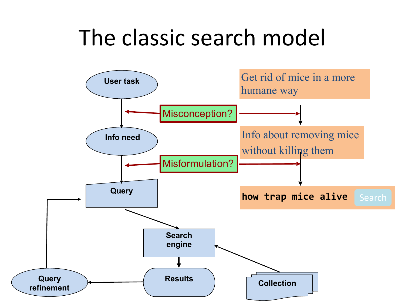# The classic search model

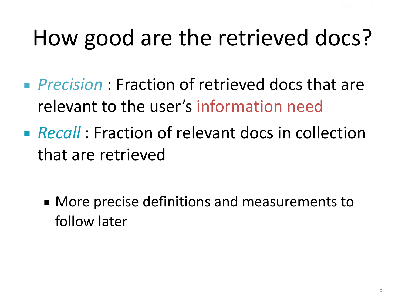# How good are the retrieved docs?

- *Precision* : Fraction of retrieved docs that are relevant to the user's information need
- **Recall** : Fraction of relevant docs in collection that are retrieved
	- More precise definitions and measurements to follow later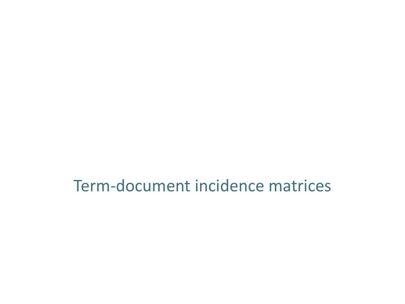Term-document incidence matrices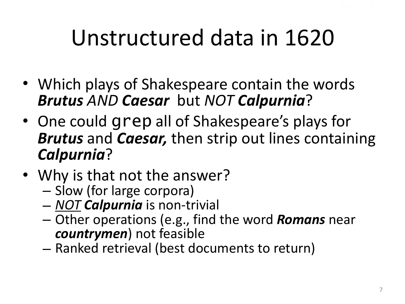# Unstructured data in 1620

- Which plays of Shakespeare contain the words *Brutus AND Caesar* but *NOT Calpurnia*?
- One could grep all of Shakespeare's plays for **Brutus** and *Caesar*, then strip out lines containing *Calpurnia*?
- Why is that not the answer?
	- Slow (for large corpora)<br>– NOT **Calpurnia** is non-trivial
	-
	- $-$  Other operations (e.g., find the word **Romans** near *countrymen*) not feasible
	- $-$  Ranked retrieval (best documents to return)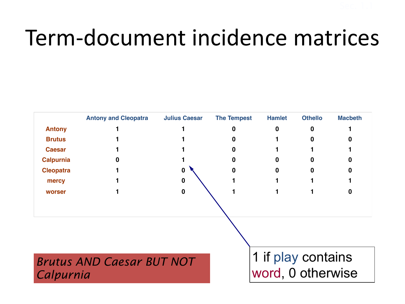# Term-document incidence matrices

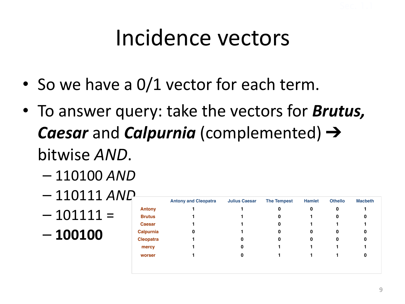## Incidence vectors

- So we have a 0/1 vector for each term.
- To answer query: take the vectors for **Brutus**, **Caesar** and **Calpurnia** (complemented) → bitwise *AND*.
	- 110100 *AND*
	- $-110111$  *AND*
	- $-101111 =$
	- **100100**

|                  | <b>Antony and Cleopatra</b> | <b>Julius Caesar</b> | <b>The Tempest</b> | <b>Hamlet</b> | <b>Othello</b> | <b>Macbeth</b> |
|------------------|-----------------------------|----------------------|--------------------|---------------|----------------|----------------|
| <b>Antony</b>    |                             |                      | 0                  | 0             | 0              |                |
| <b>Brutus</b>    |                             |                      | 0                  |               | 0              | 0              |
| <b>Caesar</b>    |                             |                      | 0                  |               |                |                |
| Calpurnia        | 0                           |                      | 0                  | 0             | 0              | 0              |
| <b>Cleopatra</b> |                             | 0                    |                    | 0             | 0              | 0              |
| mercy            |                             | 0                    |                    |               |                |                |
| worser           |                             | 0                    |                    |               |                | 0              |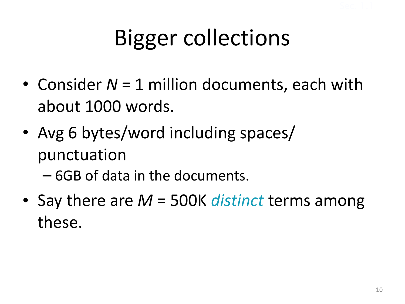# Bigger collections

- Consider  $N = 1$  million documents, each with about 1000 words.
- Avg 6 bytes/word including spaces/ punctuation
	- 6GB of data in the documents.
- Say there are *M* = 500K *distinct* terms among these.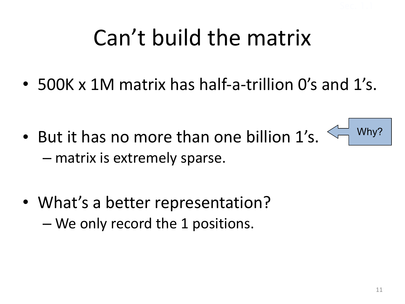# Can't build the matrix

• 500K x 1M matrix has half-a-trillion O's and 1's.

• But it has no more than one billion 1's.  $-$  matrix is extremely sparse.



• What's a better representation? – We only record the 1 positions.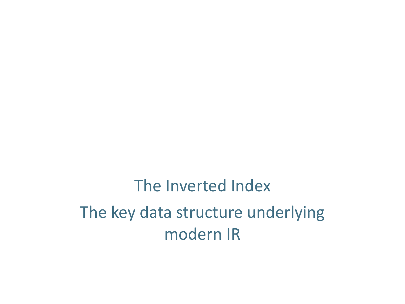The Inverted Index The key data structure underlying modern IR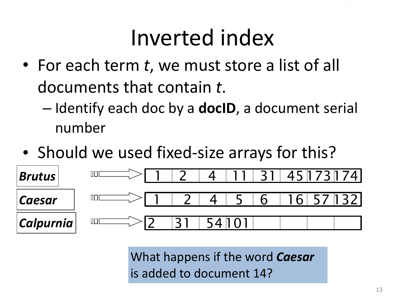## Inverted index

- For each term t, we must store a list of all documents that contain t.
	- $-$  Identify each doc by a **docID**, a document serial number
- Should we used fixed-size arrays for this?



What happens if the word **Caesar** is added to document 14?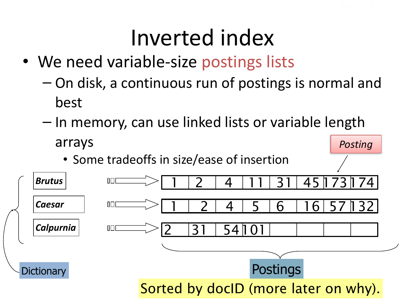#### Inverted index

- We need variable-size postings lists
	- $-$  On disk, a continuous run of postings is normal and best
	- $-$  In memory, can use linked lists or variable length arrays *Posting*
		- Some tradeoffs in size/ease of insertion

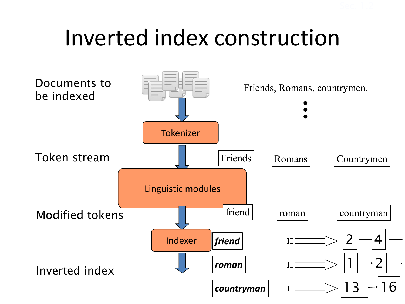# Inverted index construction

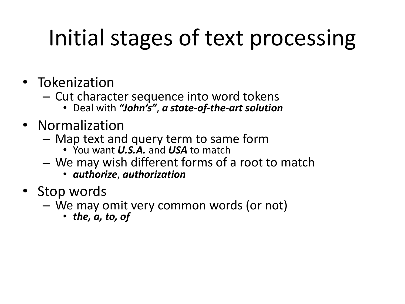# Initial stages of text processing

- Tokenization
	- $-$  Cut character sequence into word tokens
		- Deal with "John's", a state-of-the-art solution
- Normalization
	- $-$  Map text and query term to same form
		- You want *U.S.A.* and *USA* to match
	- $-$  We may wish different forms of a root to match
		- *authorize*, *authorization*
- Stop words
	- $-$  We may omit very common words (or not)
		- $\cdot$  the, a, to, of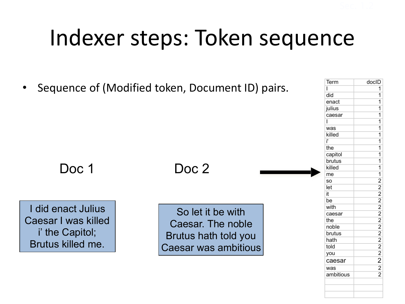# Indexer steps: Token sequence

• Sequence of (Modified token, Document ID) pairs.

Doc 1

#### Doc 2

I did enact Julius Caesar I was killed i' the Capitol; Brutus killed me.

So let it be with Caesar. The noble Brutus hath told you Caesar was ambitious

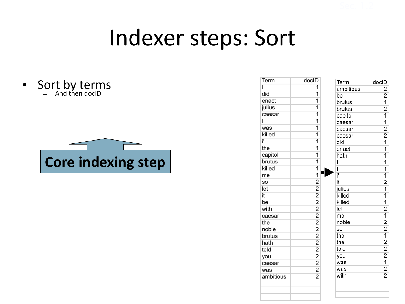#### Indexer steps: Sort

• Sort by terms – And then docID 



| Term      | doclD                   |  |
|-----------|-------------------------|--|
| ı         | 1                       |  |
| did       | 1                       |  |
| enact     | $\overline{1}$          |  |
| julius    | $\overline{\mathbf{1}}$ |  |
| caesar    | $\overline{1}$          |  |
| I         | $\overline{1}$          |  |
| was       | $\overline{1}$          |  |
| killed    | $\overline{1}$          |  |
| ï         | 1                       |  |
| the       | $\overline{1}$          |  |
| capitol   | $\overline{1}$          |  |
| brutus    | $\overline{1}$          |  |
| killed    | 1                       |  |
| me        | $\overline{\mathbf{1}}$ |  |
| SO        |                         |  |
| let       |                         |  |
| it        |                         |  |
| be        |                         |  |
| with      |                         |  |
| caesar    |                         |  |
| the       |                         |  |
| noble     |                         |  |
| brutus    |                         |  |
| hath      |                         |  |
| told      |                         |  |
| you       |                         |  |
| caesar    |                         |  |
| was       |                         |  |
| ambitious |                         |  |
|           |                         |  |
|           |                         |  |
|           |                         |  |

| Term      | docID                                     |
|-----------|-------------------------------------------|
| ambitious |                                           |
| be        |                                           |
| brutus    |                                           |
| brutus    |                                           |
| capitol   | $\frac{2}{2}$ $\frac{1}{2}$ $\frac{1}{1}$ |
| caesar    | $\overline{\mathbf{1}}$                   |
| caesar    | $\frac{1}{2}$                             |
| caesar    |                                           |
| did       | $\frac{2}{1}$                             |
| enact     | 1                                         |
| hath      | $\overline{\mathbf{1}}$                   |
| ı         | $\overline{1}$                            |
| Ĩ         | $\overline{1}$                            |
| ï         |                                           |
| it        | $\frac{1}{2}$                             |
| julius    |                                           |
| killed    | $\overline{1}$                            |
| killed    | 1                                         |
| let       |                                           |
| me        |                                           |
| noble     |                                           |
| so        |                                           |
| the       |                                           |
| the       |                                           |
| told      |                                           |
| you       |                                           |
| was       |                                           |
| was       | $2121$<br>$2122$<br>$121$<br>$22$         |
| with      |                                           |
|           |                                           |
|           |                                           |
|           |                                           |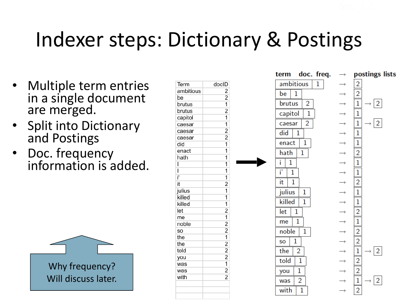## Indexer steps: Dictionary & Postings

- Multiple term entries in a single document are merged.
- Split into Dictionary and Postings
- Doc. frequency information is added.



|             |                                  | term                    | doc. freq.<br>$\rightarrow$ | postings lists                |
|-------------|----------------------------------|-------------------------|-----------------------------|-------------------------------|
| Term        | docID                            | ambitious               | 1                           | $\overline{2}$                |
| ambitious   | 2                                | 1<br>be                 |                             | $\overline{2}$                |
| be          | $\overline{2}$                   |                         |                             |                               |
| brutus      | 1                                | 2<br>brutus             |                             | $\mathbf 1$<br>$\overline{2}$ |
| brutus      | $\overline{2}$                   | $\mathbf{1}$<br>capitol |                             | $\mathbf{1}$                  |
| capitol     | $\overline{\mathbf{1}}$          |                         |                             |                               |
| caesar      | $\overline{1}$                   | 2<br>caesar             |                             | 1<br>2                        |
| caesar      | $\overline{2}$                   | did<br>1                |                             | $\mathbf{1}$                  |
| caesar      | $\overline{2}$                   |                         |                             |                               |
| did         | $\overline{1}$                   | 1<br>enact              |                             | $\mathbf{1}$                  |
| enact       | $\overline{1}$                   | hath<br>1               |                             | $\overline{2}$                |
| hath        | $\overline{1}$                   | ĩ<br>1                  |                             | $\mathbf{1}$                  |
|             | 1                                |                         |                             |                               |
|             | $\overline{1}$                   | ï<br>1                  |                             | $\mathbf{1}$                  |
| ï           | 1                                | 1<br>it                 |                             | $\overline{2}$                |
| it          | $\overline{2}$                   |                         |                             |                               |
| julius      | $\overline{1}$                   | julius<br>$\mathbf 1$   | $\rightarrow$               | $\mathbf{1}$                  |
| killed      | $\overline{1}$<br>$\overline{1}$ | killed<br>1             | $\rightarrow$               | $\mathbf 1$                   |
| killed      | $\overline{2}$                   |                         |                             |                               |
| let         | $\overline{1}$                   | 1<br>let                |                             | $\overline{2}$                |
| me<br>noble | $\overline{2}$                   | 1<br>me                 |                             | $\mathbf{1}$                  |
| so          | $\overline{2}$                   | $\mathbf{1}$            |                             | $\overline{2}$                |
| the         | $\overline{1}$                   | noble                   |                             |                               |
| the         | $\overline{2}$                   | 1<br>SO                 | $\rightarrow$               | $\overline{2}$                |
| told        | $\overline{2}$                   | the<br>2                |                             | $\mathbf{1}$<br>2             |
| you         | $\overline{2}$                   |                         |                             |                               |
| was         | 1                                | told<br>$\mathbf{1}$    |                             | $\overline{2}$                |
| was         | $\overline{2}$                   | 1<br>you                | $\rightarrow$               | $\overline{2}$                |
| with        | $\overline{2}$                   | $\overline{2}$          |                             |                               |
|             |                                  | was                     |                             | $\mathbf 1$<br>$\overline{2}$ |
|             |                                  | with<br>1               |                             | $\overline{2}$                |
|             |                                  |                         |                             |                               |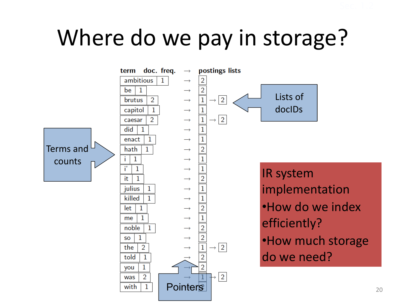# Where do we pay in storage?

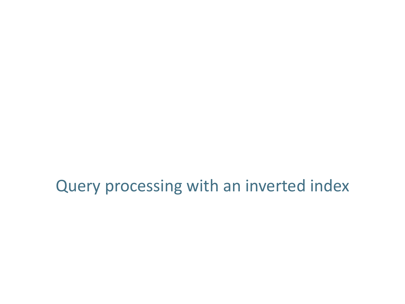Query processing with an inverted index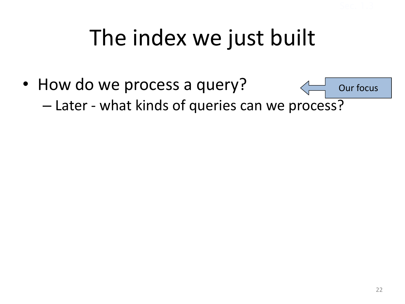# The index we just built

• How do we process a query? - Later - what kinds of queries can we process? Our focus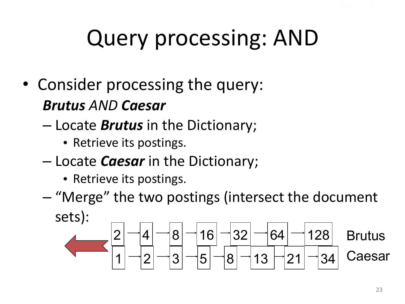# Query processing: AND

- Consider processing the query: *Brutus AND Caesar*
	- $-$  Locate *Brutus* in the Dictionary;
		- Retrieve its postings.
	- $-$  Locate *Caesar* in the Dictionary;
		- Retrieve its postings.
	- $-$  "Merge" the two postings (intersect the document sets):

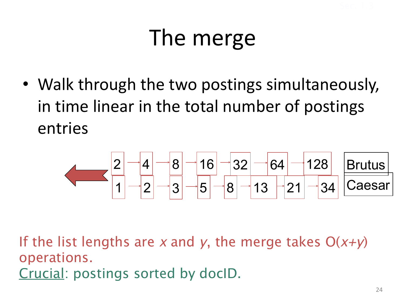# The merge

• Walk through the two postings simultaneously, in time linear in the total number of postings entries



If the list lengths are *x* and *y*, the merge takes O(*x+y*) operations. Crucial: postings sorted by docID.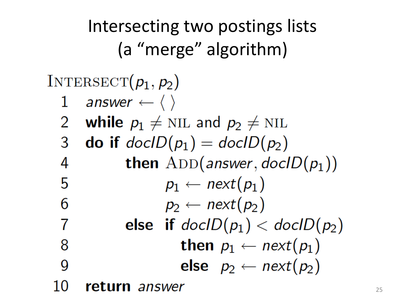Intersecting two postings lists (a "merge" algorithm)

#### INTERSECT $(p_1, p_2)$

- answer  $\leftarrow \langle \ \rangle$  $\mathbf{1}$
- 2 while  $p_1 \neq \text{NIL}$  and  $p_2 \neq \text{NIL}$
- **do if**  $docID(p_1) = docID(p_2)$ 3
- **then** ADD(answer,  $docID(p_1)$ ) 4
- $p_1 \leftarrow next(p_1)$ 5
	- $p_2 \leftarrow next(p_2)$
- else if  $docID(p_1) < docID(p_2)$ then  $p_1 \leftarrow next(p_1)$ 8
- else  $p_2 \leftarrow next(p_2)$ g

10 return *answer* 

6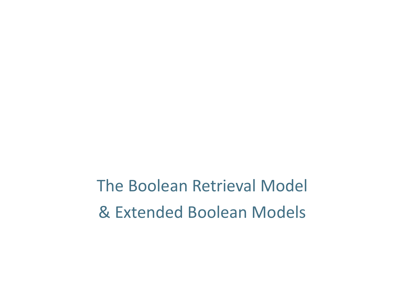The Boolean Retrieval Model & Extended Boolean Models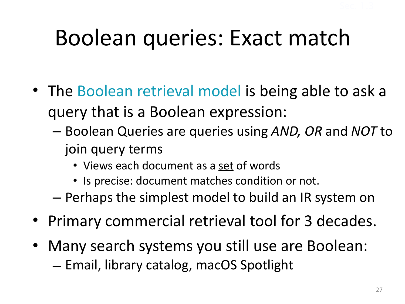## Boolean queries: Exact match

- The Boolean retrieval model is being able to ask a query that is a Boolean expression:
	- Boolean Queries are queries using *AND, OR* and *NOT* to join query terms
		- Views each document as a set of words
		- Is precise: document matches condition or not.
	- $-$  Perhaps the simplest model to build an IR system on
- Primary commercial retrieval tool for 3 decades.
- Many search systems you still use are Boolean:  $-$  Email, library catalog, macOS Spotlight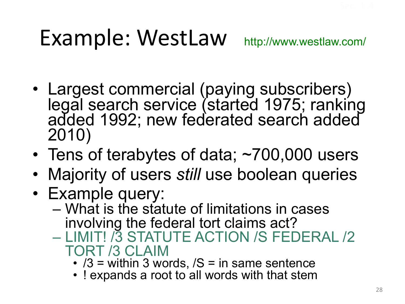# Example: WestLaw http://www.westlaw.com/

- Largest commercial (paying subscribers) legal search service (started 1975; ranking added 1992; new federated search added 2010)
- Tens of terabytes of data; ~700,000 users
- Majority of users *still* use boolean queries
- Example query:
	- What is the statute of limitations in cases involving the federal tort claims act?
	- **73 STATUTE ACTION /S FEDERAL /2** TORT /3 CLAIM
		- $/3$  = within 3 words,  $/S$  = in same sentence
		- ! expands a root to all words with that stem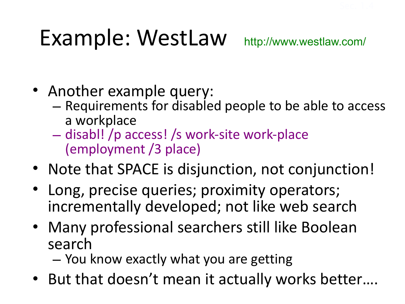# Example: WestLaw http://www.westlaw.com/

- Another example query:
	- $-$  Requirements for disabled people to be able to access a workplace
	- disabl! /p access! /s work-site work-place (employment /3 place)
- Note that SPACE is disjunction, not conjunction!
- Long, precise queries; proximity operators; incrementally developed; not like web search
- Many professional searchers still like Boolean search
	- $-$  You know exactly what you are getting
- But that doesn't mean it actually works better....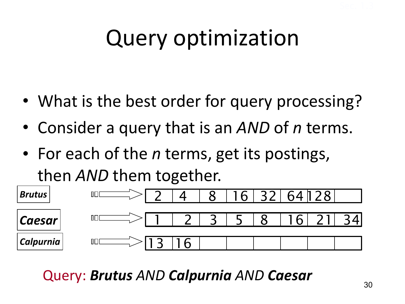# Query optimization

- What is the best order for query processing?
- Consider a query that is an *AND* of *n* terms.
- For each of the *n* terms, get its postings, then *AND* them together.



Query: *Brutus AND Calpurnia AND Caesar*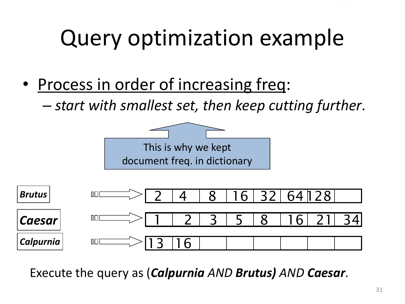# Query optimization example

- Process in order of increasing freq:
	- $-$  *start with smallest set, then keep cutting further.*



Execute the query as (*Calpurnia AND Brutus*) *AND Caesar.*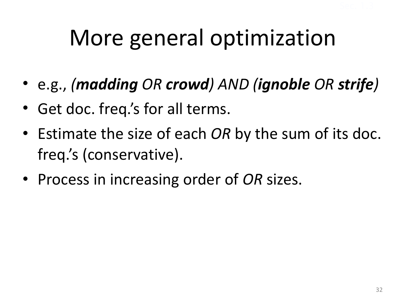# More general optimization

- e.g., (madding OR crowd) AND (ignoble OR strife)
- Get doc. freq.'s for all terms.
- Estimate the size of each *OR* by the sum of its doc. freq.'s (conservative).
- Process in increasing order of OR sizes.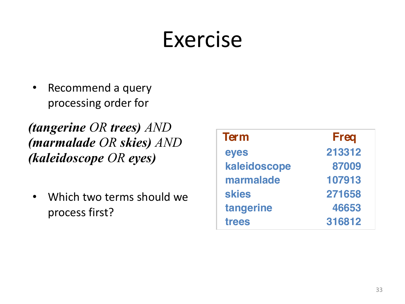# Exercise

• Recommend a query processing order for

*(tangerine OR trees) AND (marmalade OR skies) AND (kaleidoscope OR eyes)*

• Which two terms should we process first?

| <b>Term</b>  | <b>Freq</b> |
|--------------|-------------|
| eyes         | 213312      |
| kaleidoscope | 87009       |
| marmalade    | 107913      |
| <b>skies</b> | 271658      |
| tangerine    | 46653       |
| trees        | 316812      |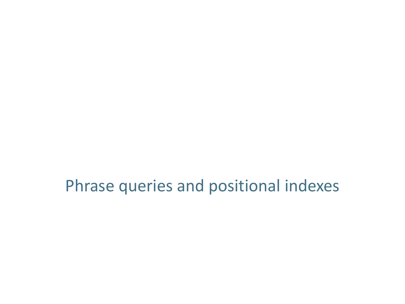Phrase queries and positional indexes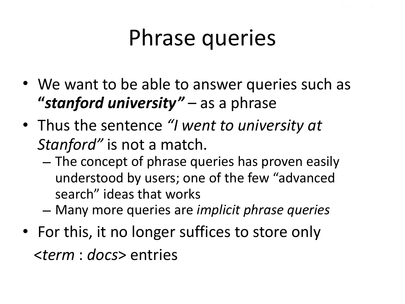# Phrase queries

- We want to be able to answer queries such as **"stanford university"** – as a phrase
- Thus the sentence "I went to university at *Stanford"* is not a match.
	- $-$  The concept of phrase queries has proven easily understood by users; one of the few "advanced search" ideas that works
	- Many more queries are *implicit phrase queries*
- For this, it no longer suffices to store only <*term* : *docs*> entries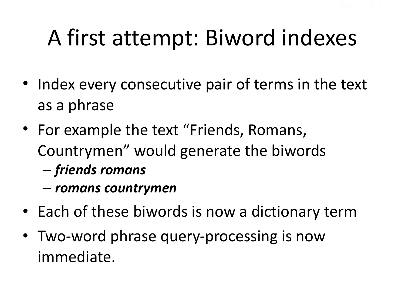# A first attempt: Biword indexes

- Index every consecutive pair of terms in the text as a phrase
- For example the text "Friends, Romans, Countrymen" would generate the biwords
	- *friends romans*
	- *romans countrymen*
- Each of these biwords is now a dictionary term
- Two-word phrase query-processing is now immediate.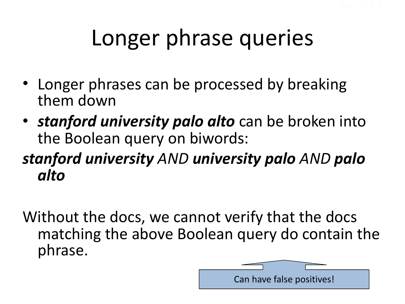# Longer phrase queries

- Longer phrases can be processed by breaking them down
- *stanford university palo alto* can be broken into the Boolean query on biwords:

#### *stanford university AND university palo AND palo alto*

Without the docs, we cannot verify that the docs matching the above Boolean query do contain the phrase.

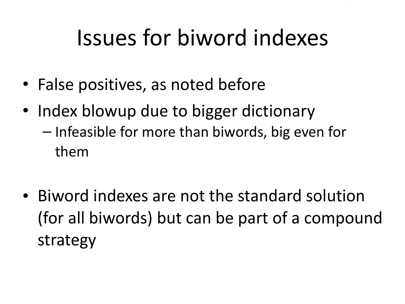# Issues for biword indexes

- False positives, as noted before
- Index blowup due to bigger dictionary  $-$  Infeasible for more than biwords, big even for them
- Biword indexes are not the standard solution (for all biwords) but can be part of a compound strategy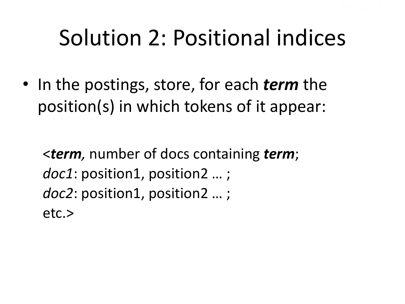# Solution 2: Positional indices

• In the postings, store, for each *term* the position(s) in which tokens of it appear:

<*term,* number of docs containing *term*; doc1: position1, position2 ...; doc2: position1, position2 ...; etc.>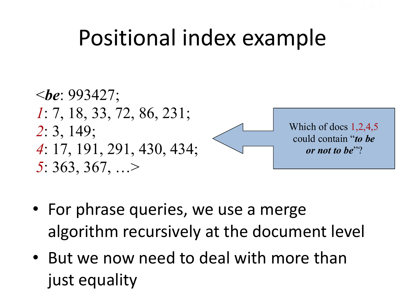# Positional index example



- For phrase queries, we use a merge algorithm recursively at the document level
- But we now need to deal with more than just equality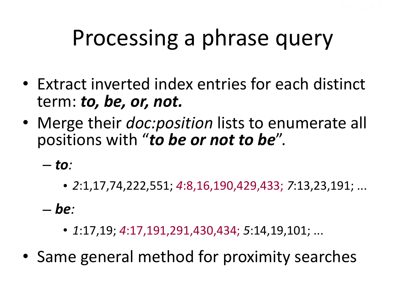# Processing a phrase query

- Extract inverted index entries for each distinct term: *to, be, or, not.*
- Merge their *doc:position* lists to enumerate all positions with "*to be or not to be*".

 $-$  *to*:

• *2*:1,17,74,222,551; *4*:8,16,190,429,433; *7*:13,23,191; ...

 $-\mathbf{be}$ 

• *1*:17,19; *4*:17,191,291,430,434; *5*:14,19,101; ...

• Same general method for proximity searches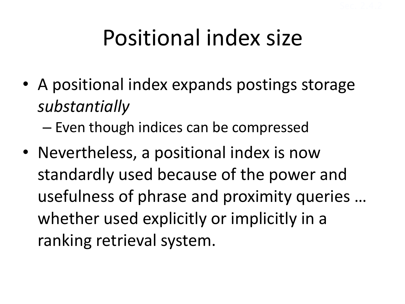# Positional index size

• A positional index expands postings storage *substantially* 

 $-$  Even though indices can be compressed

• Nevertheless, a positional index is now standardly used because of the power and usefulness of phrase and proximity queries ... whether used explicitly or implicitly in a ranking retrieval system.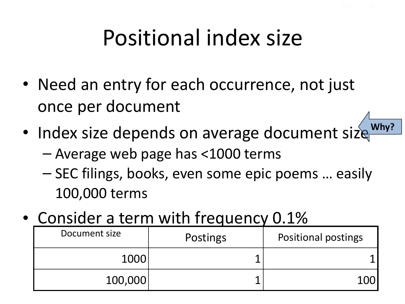# Positional index size

- Need an entry for each occurrence, not just once per document
- $\bullet$  Index size depends on average document size **Why?**
	- $-$  Average web page has  $<$ 1000 terms
	- SEC filings, books, even some epic poems … easily 100,000 terms
- Consider a term with frequency 0.1%

| Document size | Postings | <b>Positional postings</b> |
|---------------|----------|----------------------------|
| 1000          |          |                            |
| 100,000       |          |                            |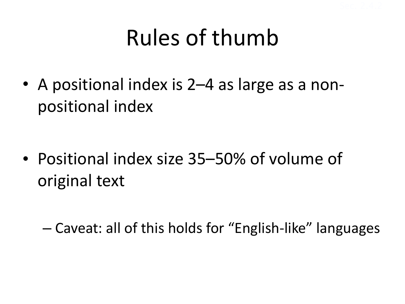# Rules of thumb

• A positional index is 2–4 as large as a nonpositional index

• Positional index size 35–50% of volume of original text

 $-$  Caveat: all of this holds for "English-like" languages